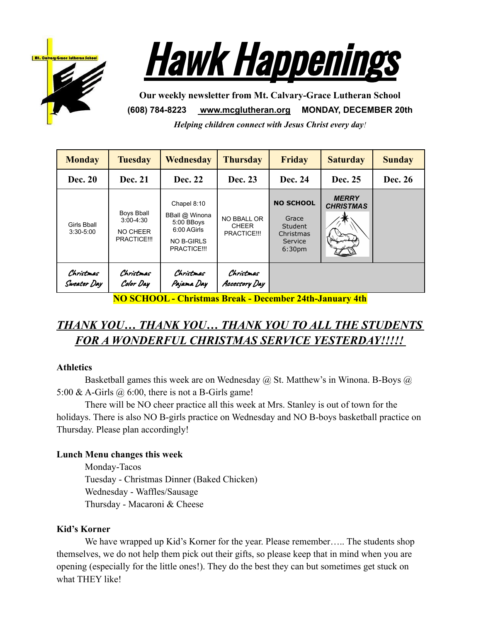



**Our weekly newsletter from Mt. Calvary-Grace Lutheran School (608) 784-8223 [www.mcglutheran.org](http://www.mcglutheran.org/) MONDAY, DECEMBER 20th** *Helping children connect with Jesus Christ every day!*

**Monday Tuesday Wednesday Thursday Friday Saturday Sunday Dec. 20 Dec. 21 Dec. 22 Dec. 23 Dec. 24 Dec. 25 Dec. 26** Girls Bball 3:30-5:00 Boys Bball 3:00-4:30 NO CHEER PRACTICE!!! Chapel 8:10 BBall @ Winona 5:00 BBoys 6:00 AGirls NO B-GIRLS PRACTICE!!! NO BBALL OR CHEER PRACTICE!!! **NO SCHOOL** Grace **Student** Christmas Service 6:30pm *MERRY CHRISTMAS* Christmas Sweater Day Christmas Color Day Christmas Pajama Day Christmas Accessory Day

**NO SCHOOL - Christmas Break - December 24th-January 4th**

# *THANK YOU… THANK YOU… THANK YOU TO ALL THE STUDENTS FOR A WONDERFUL CHRISTMAS SERVICE YESTERDAY!!!!!*

#### **Athletics**

Basketball games this week are on Wednesday  $\omega$  St. Matthew's in Winona. B-Boys  $\omega$ 5:00 & A-Girls  $\omega$  6:00, there is not a B-Girls game!

There will be NO cheer practice all this week at Mrs. Stanley is out of town for the holidays. There is also NO B-girls practice on Wednesday and NO B-boys basketball practice on Thursday. Please plan accordingly!

# **Lunch Menu changes this week**

Monday-Tacos Tuesday - Christmas Dinner (Baked Chicken) Wednesday - Waffles/Sausage Thursday - Macaroni & Cheese

# **Kid's Korner**

We have wrapped up Kid's Korner for the year. Please remember..... The students shop themselves, we do not help them pick out their gifts, so please keep that in mind when you are opening (especially for the little ones!). They do the best they can but sometimes get stuck on what THEY like!